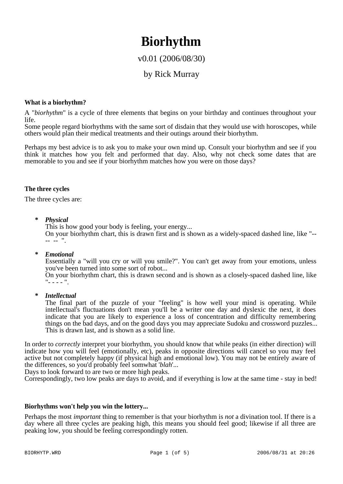# **Biorhythm**

# v0.01 (2006/08/30)

# by Rick Murray

#### **What is a biorhythm?**

A "*biorhythm*" is a cycle of three elements that begins on your birthday and continues throughout your life.

Some people regard biorhythms with the same sort of disdain that they would use with horoscopes, while others would plan their medical treatments and their outings around their biorhythm.

Perhaps my best advice is to ask you to make your own mind up. Consult your biorhythm and see if you think it matches how you felt and performed that day. Also, why not check some dates that are memorable to you and see if your biorhythm matches how you were on those days?

#### **The three cycles**

The three cycles are:

**\*** *Physical*

This is how good your body is feeling, your energy...

On your biorhythm chart, this is drawn first and is shown as a widely-spaced dashed line, like "-- -- -- ".

**\*** *Emotional*

Essentially a "will you cry or will you smile?". You can't get away from your emotions, unless you've been turned into some sort of robot...

On your biorhythm chart, this is drawn second and is shown as a closely-spaced dashed line, like  $" - - - - "$ .

**\*** *Intellectual*

The final part of the puzzle of your "feeling" is how well your mind is operating. While intellectual's fluctuations don't mean you'll be a writer one day and dyslexic the next, it does indicate that you are likely to experience a loss of concentration and difficulty remembering things on the bad days, and on the good days you may appreciate Sudoku and crossword puzzles... This is drawn last, and is shown as a solid line.

In order to *correctly* interpret your biorhythm, you should know that while peaks (in either direction) will indicate how you will feel (emotionally, etc), peaks in opposite directions will cancel so you may feel active but not completely happy (if physical high and emotional low). You may not be entirely aware of the differences, so you'd probably feel somwhat '*blah*'...

Days to look forward to are two or more high peaks.

Correspondingly, two low peaks are days to avoid, and if everything is low at the same time - stay in bed!

#### **Biorhythms won't help you win the lottery...**

Perhaps the most *important* thing to remember is that your biorhythm is *not* a divination tool. If there is a day where all three cycles are peaking high, this means you should feel good; likewise if all three are peaking low, you should be feeling correspondingly rotten.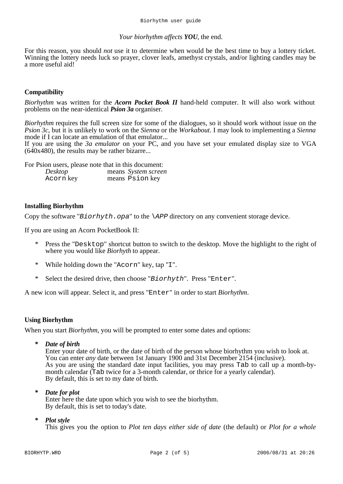#### *Your biorhythm affects YOU*, the end.

For this reason, you should *not* use it to determine when would be the best time to buy a lottery ticket. Winning the lottery needs luck so prayer, clover leafs, amethyst crystals, and/or lighting candles may be a more useful aid!

#### **Compatibility**

*Biorhythm* was written for the *Acorn Pocket Book II* hand-held computer. It will also work without problems on the near-identical *Psion 3a* organiser.

*Biorhythm* requires the full screen size for some of the dialogues, so it should work without issue on the *Psion 3c*, but it is unlikely to work on the *Sienna* or the *Workabout*. I may look to implementing a *Sienna* mode if I can locate an emulation of that emulator...

If you are using the *3a emulator* on your PC, and you have set your emulated display size to VGA (640x480), the results may be rather bizarre...

For Psion users, please note that in this document:

| Desktop   | means System screen |
|-----------|---------------------|
| Acorn key | means Psion key     |

#### **Installing Biorhythm**

Copy the software "*Biorhyth.opa*" to the *\APP* directory on any convenient storage device.

If you are using an Acorn PocketBook II:

- \* Press the "Desktop" shortcut button to switch to the desktop. Move the highlight to the right of where you would like *Biorhyth* to appear.
- \* While holding down the "Acorn" key, tap "I".
- \* Select the desired drive, then choose "*Biorhyth*". Press "Enter".

A new icon will appear. Select it, and press "Enter" in order to start *Biorhythm*.

#### **Using Biorhythm**

When you start *Biorhythm*, you will be prompted to enter some dates and options:

**\*** *Date of birth*

Enter your date of birth, or the date of birth of the person whose biorhythm you wish to look at. You can enter *any* date between 1st January 1900 and 31st December 2154 (inclusive). As you are using the standard date input facilities, you may press Tab to call up a month-bymonth calendar (Tab twice for a 3-month calendar, or thrice for a yearly calendar). By default, this is set to my date of birth.

**\*** *Date for plot*

Enter here the date upon which you wish to see the biorhythm. By default, this is set to today's date.

**\*** *Plot style*

This gives you the option to *Plot ten days either side of date* (the default) or *Plot for a whole*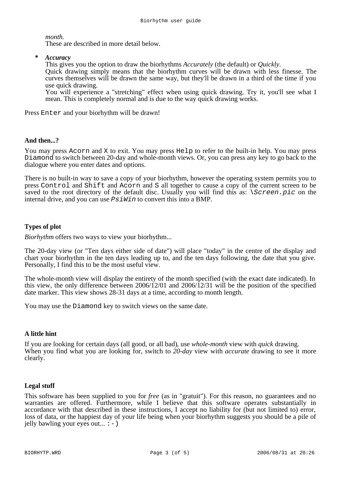*month*.

These are described in more detail below.

**\*** *Accuracy*

This gives you the option to draw the biorhythms *Accurately* (the default) or *Quickly*.

Quick drawing simply means that the biorhythm curves will be drawn with less finesse. The curves themselves will be drawn the same way, but they'll be drawn in a third of the time if you use quick drawing.

You will experience a "stretching" effect when using quick drawing. Try it, you'll see what I mean. This is completely normal and is due to the way quick drawing works.

Press Enter and your biorhythm will be drawn!

# **And then...?**

You may press Acorn and X to exit. You may press Help to refer to the built-in help. You may press Diamond to switch between 20-day and whole-month views. Or, you can press any key to go back to the dialogue where you enter dates and options.

There is no built-in way to save a copy of your biorhythm, however the operating system permits you to press Control and Shift and Acorn and S all together to cause a copy of the current screen to be saved to the root directory of the default disc. Usually you will find this as: *\Screen.pic* on the internal drive, and you can use *PsiWin* to convert this into a BMP.

# **Types of plot**

*Biorhythm* offers two ways to view your biorhythm...

The 20-day view (or "Ten days either side of date") will place "today" in the centre of the display and chart your biorhythm in the ten days leading up to, and the ten days following, the date that you give. Personally, I find this to be the most useful view.

The whole-month view will display the entirety of the month specified (with the exact date indicated). In this view, the only difference between 2006/12/01 and 2006/12/31 will be the position of the specified date marker. This view shows 28-31 days at a time, according to month length.

You may use the Diamond key to switch views on the same date.

# **A little hint**

If you are looking for certain days (all good, or all bad), use *whole-month* view with *quick* drawing. When you find what you are looking for, switch to *20-day* view with *accurate* drawing to see it more clearly.

# **Legal stuff**

This software has been supplied to you for *free* (as in "gratuit"). For this reason, no guarantees and no warranties are offered. Furthermore, while I believe that this software operates substantially in accordance with that described in these instructions, I accept no liability for (but not limited to) error, loss of data, or the happiest day of your life being when your biorhythm suggests you should be a pile of jelly bawling your eyes out...  $:$  -  $)$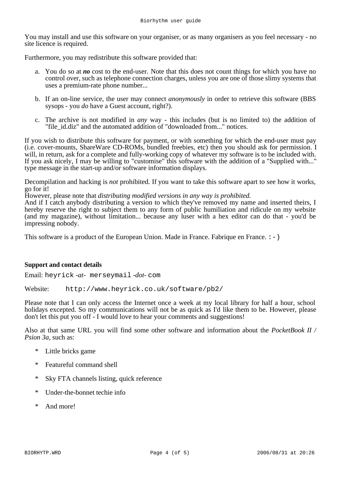You may install and use this software on your organiser, or as many organisers as you feel necessary - no site licence is required.

Furthermore, you may redistribute this software provided that:

- a. You do so at *no* cost to the end-user. Note that this does not count things for which you have no control over, such as telephone connection charges, unless you are one of those slimy systems that uses a premium-rate phone number...
- b. If an on-line service, the user may connect *anonymously* in order to retrieve this software (BBS sysops - you *do* have a Guest account, right?).
- c. The archive is not modified in *any* way this includes (but is no limited to) the addition of "file id.diz" and the automated addition of "downloaded from..." notices.

If you wish to distribute this software for payment, or with something for which the end-user must pay (i.e. cover-mounts, ShareWare CD-ROMs, bundled freebies, etc) then you should ask for permission. I will, in return, ask for a complete and fully-working copy of whatever my software is to be included with. If you ask nicely, I may be willing to "customise" this software with the addition of a "Supplied with..." type message in the start-up and/or software information displays.

Decompilation and hacking is *not* prohibited. If you want to take this software apart to see how it works, go for it!

However, please note that *distributing modified versions in any way is prohibited*.

And if I catch anybody distributing a version to which they've removed my name and inserted theirs, I hereby reserve the right to subject them to any form of public humiliation and ridicule on my website (and my magazine), without limitation... because any luser with a hex editor can do that - you'd be impressing nobody.

This software is a product of the European Union. Made in France. Fabrique en France.  $: -)$ 

# **Support and contact details**

Email: heyrick *-at-* merseymail *-dot-* com

Website: http://www.heyrick.co.uk/software/pb2/

Please note that I can only access the Internet once a week at my local library for half a hour, school holidays excepted. So my communications will not be as quick as I'd like them to be. However, please don't let this put you off - I would love to hear your comments and suggestions!

Also at that same URL you will find some other software and information about the *PocketBook II / Psion 3a*, such as:

- \* Little bricks game
- \* Featureful command shell
- \* Sky FTA channels listing, quick reference
- \* Under-the-bonnet techie info
- \* And more!